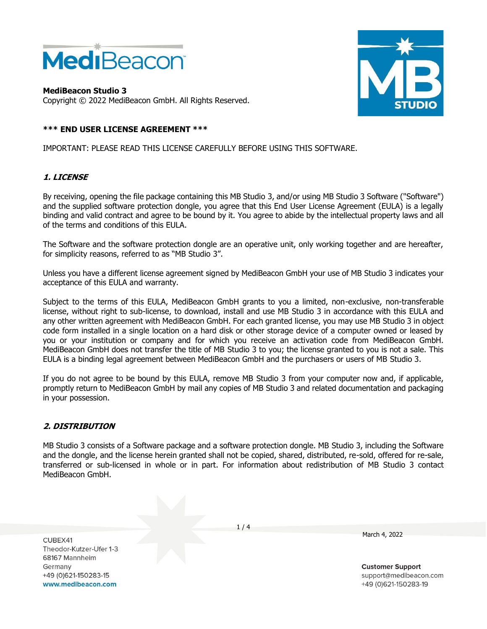

**MediBeacon Studio 3** Copyright © 2022 MediBeacon GmbH. All Rights Reserved.



# **\*\*\* END USER LICENSE AGREEMENT \*\*\***

IMPORTANT: PLEASE READ THIS LICENSE CAREFULLY BEFORE USING THIS SOFTWARE.

### **1. LICENSE**

By receiving, opening the file package containing this MB Studio 3, and/or using MB Studio 3 Software ("Software") and the supplied software protection dongle, you agree that this End User License Agreement (EULA) is a legally binding and valid contract and agree to be bound by it. You agree to abide by the intellectual property laws and all of the terms and conditions of this EULA.

The Software and the software protection dongle are an operative unit, only working together and are hereafter, for simplicity reasons, referred to as "MB Studio 3".

Unless you have a different license agreement signed by MediBeacon GmbH your use of MB Studio 3 indicates your acceptance of this EULA and warranty.

Subject to the terms of this EULA, MediBeacon GmbH grants to you a limited, non-exclusive, non-transferable license, without right to sub-license, to download, install and use MB Studio 3 in accordance with this EULA and any other written agreement with MediBeacon GmbH. For each granted license, you may use MB Studio 3 in object code form installed in a single location on a hard disk or other storage device of a computer owned or leased by you or your institution or company and for which you receive an activation code from MediBeacon GmbH. MediBeacon GmbH does not transfer the title of MB Studio 3 to you; the license granted to you is not a sale. This EULA is a binding legal agreement between MediBeacon GmbH and the purchasers or users of MB Studio 3.

If you do not agree to be bound by this EULA, remove MB Studio 3 from your computer now and, if applicable, promptly return to MediBeacon GmbH by mail any copies of MB Studio 3 and related documentation and packaging in your possession.

### **2. DISTRIBUTION**

MB Studio 3 consists of a Software package and a software protection dongle. MB Studio 3, including the Software and the dongle, and the license herein granted shall not be copied, shared, distributed, re-sold, offered for re-sale, transferred or sub-licensed in whole or in part. For information about redistribution of MB Studio 3 contact MediBeacon GmbH.

CUREX41 Theodor-Kutzer-Ufer 1-3 68167 Mannheim Germany +49 (0)621-150283-15 www.medibeacon.com

 $1/4$ 

March 4, 2022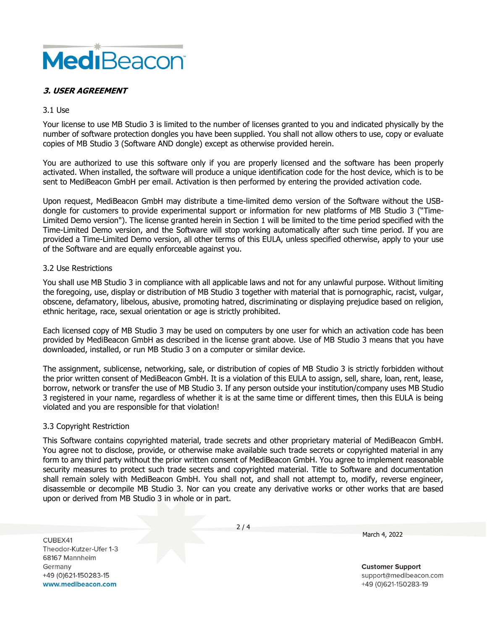

# **3. USER AGREEMENT**

### 3.1 Use

Your license to use MB Studio 3 is limited to the number of licenses granted to you and indicated physically by the number of software protection dongles you have been supplied. You shall not allow others to use, copy or evaluate copies of MB Studio 3 (Software AND dongle) except as otherwise provided herein.

You are authorized to use this software only if you are properly licensed and the software has been properly activated. When installed, the software will produce a unique identification code for the host device, which is to be sent to MediBeacon GmbH per email. Activation is then performed by entering the provided activation code.

Upon request, MediBeacon GmbH may distribute a time-limited demo version of the Software without the USBdongle for customers to provide experimental support or information for new platforms of MB Studio 3 ("Time-Limited Demo version"). The license granted herein in Section 1 will be limited to the time period specified with the Time-Limited Demo version, and the Software will stop working automatically after such time period. If you are provided a Time-Limited Demo version, all other terms of this EULA, unless specified otherwise, apply to your use of the Software and are equally enforceable against you.

### 3.2 Use Restrictions

You shall use MB Studio 3 in compliance with all applicable laws and not for any unlawful purpose. Without limiting the foregoing, use, display or distribution of MB Studio 3 together with material that is pornographic, racist, vulgar, obscene, defamatory, libelous, abusive, promoting hatred, discriminating or displaying prejudice based on religion, ethnic heritage, race, sexual orientation or age is strictly prohibited.

Each licensed copy of MB Studio 3 may be used on computers by one user for which an activation code has been provided by MediBeacon GmbH as described in the license grant above. Use of MB Studio 3 means that you have downloaded, installed, or run MB Studio 3 on a computer or similar device.

The assignment, sublicense, networking, sale, or distribution of copies of MB Studio 3 is strictly forbidden without the prior written consent of MediBeacon GmbH. It is a violation of this EULA to assign, sell, share, loan, rent, lease, borrow, network or transfer the use of MB Studio 3. If any person outside your institution/company uses MB Studio 3 registered in your name, regardless of whether it is at the same time or different times, then this EULA is being violated and you are responsible for that violation!

### 3.3 Copyright Restriction

This Software contains copyrighted material, trade secrets and other proprietary material of MediBeacon GmbH. You agree not to disclose, provide, or otherwise make available such trade secrets or copyrighted material in any form to any third party without the prior written consent of MediBeacon GmbH. You agree to implement reasonable security measures to protect such trade secrets and copyrighted material. Title to Software and documentation shall remain solely with MediBeacon GmbH. You shall not, and shall not attempt to, modify, reverse engineer, disassemble or decompile MB Studio 3. Nor can you create any derivative works or other works that are based upon or derived from MB Studio 3 in whole or in part.

CUBEX41 Theodor-Kutzer-Ufer 1-3 68167 Mannheim Germany +49 (0)621-150283-15 www.medibeacon.com

 $2/4$ 

March 4, 2022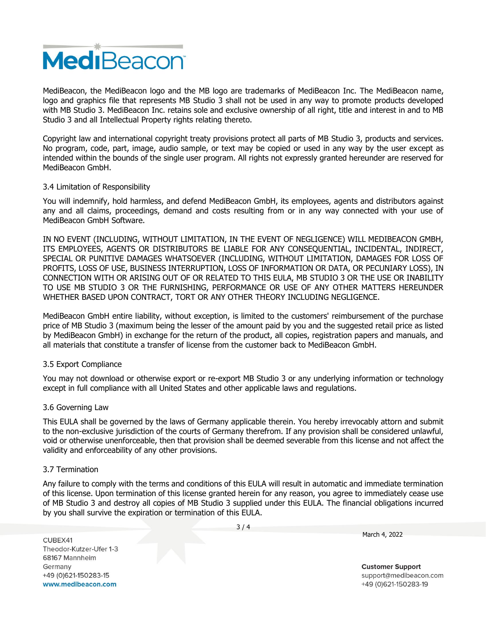

MediBeacon, the MediBeacon logo and the MB logo are trademarks of MediBeacon Inc. The MediBeacon name, logo and graphics file that represents MB Studio 3 shall not be used in any way to promote products developed with MB Studio 3. MediBeacon Inc. retains sole and exclusive ownership of all right, title and interest in and to MB Studio 3 and all Intellectual Property rights relating thereto.

Copyright law and international copyright treaty provisions protect all parts of MB Studio 3, products and services. No program, code, part, image, audio sample, or text may be copied or used in any way by the user except as intended within the bounds of the single user program. All rights not expressly granted hereunder are reserved for MediBeacon GmbH.

### 3.4 Limitation of Responsibility

You will indemnify, hold harmless, and defend MediBeacon GmbH, its employees, agents and distributors against any and all claims, proceedings, demand and costs resulting from or in any way connected with your use of MediBeacon GmbH Software.

IN NO EVENT (INCLUDING, WITHOUT LIMITATION, IN THE EVENT OF NEGLIGENCE) WILL MEDIBEACON GMBH, ITS EMPLOYEES, AGENTS OR DISTRIBUTORS BE LIABLE FOR ANY CONSEQUENTIAL, INCIDENTAL, INDIRECT, SPECIAL OR PUNITIVE DAMAGES WHATSOEVER (INCLUDING, WITHOUT LIMITATION, DAMAGES FOR LOSS OF PROFITS, LOSS OF USE, BUSINESS INTERRUPTION, LOSS OF INFORMATION OR DATA, OR PECUNIARY LOSS), IN CONNECTION WITH OR ARISING OUT OF OR RELATED TO THIS EULA, MB STUDIO 3 OR THE USE OR INABILITY TO USE MB STUDIO 3 OR THE FURNISHING, PERFORMANCE OR USE OF ANY OTHER MATTERS HEREUNDER WHETHER BASED UPON CONTRACT, TORT OR ANY OTHER THEORY INCLUDING NEGLIGENCE.

MediBeacon GmbH entire liability, without exception, is limited to the customers' reimbursement of the purchase price of MB Studio 3 (maximum being the lesser of the amount paid by you and the suggested retail price as listed by MediBeacon GmbH) in exchange for the return of the product, all copies, registration papers and manuals, and all materials that constitute a transfer of license from the customer back to MediBeacon GmbH.

### 3.5 Export Compliance

You may not download or otherwise export or re-export MB Studio 3 or any underlying information or technology except in full compliance with all United States and other applicable laws and regulations.

### 3.6 Governing Law

This EULA shall be governed by the laws of Germany applicable therein. You hereby irrevocably attorn and submit to the non-exclusive jurisdiction of the courts of Germany therefrom. If any provision shall be considered unlawful, void or otherwise unenforceable, then that provision shall be deemed severable from this license and not affect the validity and enforceability of any other provisions.

#### 3.7 Termination

Any failure to comply with the terms and conditions of this EULA will result in automatic and immediate termination of this license. Upon termination of this license granted herein for any reason, you agree to immediately cease use of MB Studio 3 and destroy all copies of MB Studio 3 supplied under this EULA. The financial obligations incurred by you shall survive the expiration or termination of this EULA.

CUBEX41 Theodor-Kutzer-Ufer 1-3 68167 Mannheim Germany +49 (0)621-150283-15 www.medibeacon.com

 $3/4$ 

March 4, 2022